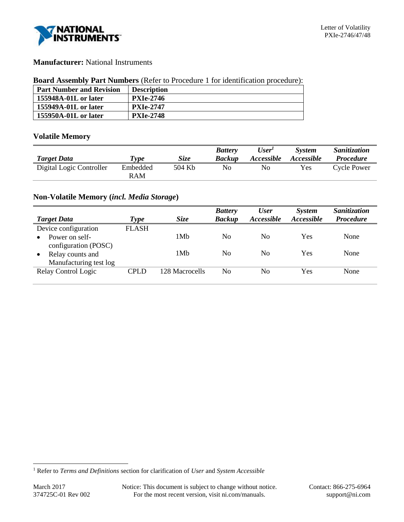

# **Manufacturer:** National Instruments

#### **Board Assembly Part Numbers** (Refer to Procedure 1 for identification procedure):

| <b>Part Number and Revision</b> | <b>Description</b> |
|---------------------------------|--------------------|
| 155948A-01L or later            | <b>PXIe-2746</b>   |
| 155949A-01L or later            | <b>PXIe-2747</b>   |
| 155950A-01L or later            | <b>PXIe-2748</b>   |

# **Volatile Memory**

| <b>Target Data</b>       | Type            | <b>Size</b> | <b>Battery</b><br><b>Backup</b> | User'<br><i><b>Accessible</b></i> | <b>System</b><br><i><b>Accessible</b></i> | <i>Sanitization</i><br><i>Procedure</i> |
|--------------------------|-----------------|-------------|---------------------------------|-----------------------------------|-------------------------------------------|-----------------------------------------|
| Digital Logic Controller | Embedded<br>RAM | 504 Kb      | No                              | No                                | <b>Yes</b>                                | <b>Cycle Power</b>                      |

# **Non-Volatile Memory (***incl. Media Storage***)**

| <b>Target Data</b>     |              | Size           | <b>Battery</b><br><b>Backup</b> | <b>User</b><br><i>Accessible</i> | <b>System</b><br>Accessible | Sanitization<br><b>Procedure</b> |
|------------------------|--------------|----------------|---------------------------------|----------------------------------|-----------------------------|----------------------------------|
|                        | Type         |                |                                 |                                  |                             |                                  |
| Device configuration   | <b>FLASH</b> |                |                                 |                                  |                             |                                  |
| Power on self-         |              | 1Mb            | No                              | No                               | Yes                         | None                             |
| configuration (POSC)   |              |                |                                 |                                  |                             |                                  |
| Relay counts and       |              | 1Mb            | No                              | No                               | Yes                         | None                             |
| Manufacturing test log |              |                |                                 |                                  |                             |                                  |
| Relay Control Logic    | <b>CPLD</b>  | 128 Macrocells | No                              | No                               | Yes                         | None                             |
|                        |              |                |                                 |                                  |                             |                                  |

l

<sup>1</sup> Refer to *Terms and Definitions* section for clarification of *User* and *System Accessible*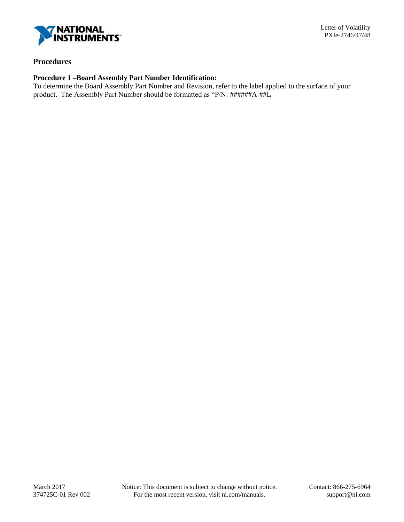

### **Procedures**

### **Procedure 1 –Board Assembly Part Number Identification:**

To determine the Board Assembly Part Number and Revision, refer to the label applied to the surface of your product. The Assembly Part Number should be formatted as "P/N: ######A-##L